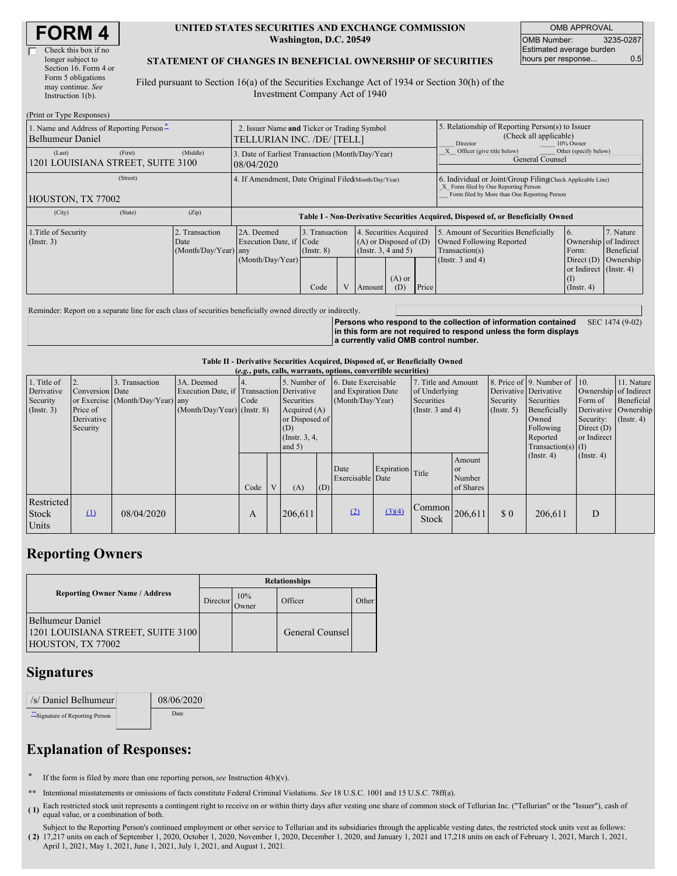| <b>FORM4</b> |
|--------------|
|--------------|

| Check this box if no  |
|-----------------------|
| longer subject to     |
| Section 16. Form 4 or |
| Form 5 obligations    |
| may continue. See     |
| Instruction $1(b)$ .  |
|                       |

 $(D_{\text{right}} \sim T$ 

#### **UNITED STATES SECURITIES AND EXCHANGE COMMISSION Washington, D.C. 20549**

OMB APPROVAL OMB Number: 3235-0287 Estimated average burden hours per response... **0.5** 

#### **STATEMENT OF CHANGES IN BENEFICIAL OWNERSHIP OF SECURITIES**

Filed pursuant to Section 16(a) of the Securities Exchange Act of 1934 or Section 30(h) of the Investment Company Act of 1940

| (FILIII OL I YPU NUSPOIISUS)                                 |                                                                           |                                                                                  |                                           |  |                                                                                        |                 |                                                                                                                                                    |                                                                                                             |                                                                                                                      |                                      |
|--------------------------------------------------------------|---------------------------------------------------------------------------|----------------------------------------------------------------------------------|-------------------------------------------|--|----------------------------------------------------------------------------------------|-----------------|----------------------------------------------------------------------------------------------------------------------------------------------------|-------------------------------------------------------------------------------------------------------------|----------------------------------------------------------------------------------------------------------------------|--------------------------------------|
| 1. Name and Address of Reporting Person-<br>Belhumeur Daniel | 2. Issuer Name and Ticker or Trading Symbol<br>TELLURIAN INC. /DE/ [TELL] |                                                                                  |                                           |  |                                                                                        |                 | 5. Relationship of Reporting Person(s) to Issuer<br>(Check all applicable)<br>Director<br>10% Owner                                                |                                                                                                             |                                                                                                                      |                                      |
| (First)<br>(Last)<br>1201 LOUISIANA STREET, SUITE 3100       | 3. Date of Earliest Transaction (Month/Day/Year)<br>08/04/2020            |                                                                                  |                                           |  |                                                                                        |                 | Other (specify below)<br>Officer (give title below)<br>General Counsel                                                                             |                                                                                                             |                                                                                                                      |                                      |
| (Street)<br>HOUSTON, TX 77002                                | 4. If Amendment, Date Original Filed(Month/Day/Year)                      |                                                                                  |                                           |  |                                                                                        |                 | 6. Individual or Joint/Group Filing(Check Applicable Line)<br>X Form filed by One Reporting Person<br>Form filed by More than One Reporting Person |                                                                                                             |                                                                                                                      |                                      |
| (City)<br>(State)                                            | (Zip)                                                                     | Table I - Non-Derivative Securities Acquired, Disposed of, or Beneficially Owned |                                           |  |                                                                                        |                 |                                                                                                                                                    |                                                                                                             |                                                                                                                      |                                      |
| 1. Title of Security<br>$($ Instr. 3 $)$                     | Transaction<br>Date<br>(Month/Day/Year) any                               | 2A. Deemed<br>Execution Date, if Code<br>(Month/Day/Year)                        | 3. Transaction<br>$($ Instr. $8)$<br>Code |  | 4. Securities Acquired<br>$(A)$ or Disposed of $(D)$<br>(Insert. 3, 4 and 5)<br>Amount | $(A)$ or<br>(D) | Price                                                                                                                                              | 5. Amount of Securities Beneficially<br>Owned Following Reported<br>Transaction(s)<br>(Instr. $3$ and $4$ ) | <sup>6.</sup><br>Ownership of Indirect<br>Form:<br>Direct $(D)$<br>or Indirect (Instr. 4)<br>(1)<br>$($ Instr. 4 $)$ | 7. Nature<br>Beneficial<br>Ownership |

Reminder: Report on a separate line for each class of securities beneficially owned directly or indirectly.

**Persons who respond to the collection of information contained in this form are not required to respond unless the form displays a currently valid OMB control number.** SEC 1474 (9-02)

**Table II - Derivative Securities Acquired, Disposed of, or Beneficially Owned**

| (e.g., puts, calls, warrants, options, convertible securities) |                        |                                  |                                           |              |   |                     |                  |                     |                  |                                |                              |                       |                      |                       |                      |
|----------------------------------------------------------------|------------------------|----------------------------------|-------------------------------------------|--------------|---|---------------------|------------------|---------------------|------------------|--------------------------------|------------------------------|-----------------------|----------------------|-----------------------|----------------------|
| 1. Title of                                                    |                        | Transaction                      | 3A. Deemed                                | 5. Number of |   | 6. Date Exercisable |                  | 7. Title and Amount |                  |                                | 8. Price of 9. Number of 10. |                       | 11. Nature           |                       |                      |
| Derivative                                                     | <b>Conversion</b> Date |                                  | Execution Date, if Transaction Derivative |              |   |                     |                  | and Expiration Date |                  | of Underlying                  |                              | Derivative Derivative |                      | Ownership of Indirect |                      |
| Security                                                       |                        | or Exercise (Month/Day/Year) any |                                           | Code         |   | Securities          | (Month/Day/Year) |                     | Securities       |                                | Security                     | Securities            | Form of              | Beneficial            |                      |
| (Insert. 3)                                                    | Price of               |                                  | (Month/Day/Year) (Instr. 8)               |              |   | Acquired $(A)$      |                  |                     |                  | (Instr. $3$ and $4$ )          |                              | $($ Instr. 5 $)$      | Beneficially         |                       | Derivative Ownership |
|                                                                | Derivative             |                                  |                                           |              |   | or Disposed of      |                  |                     |                  |                                | Owned                        | Security:             | $($ Instr. 4 $)$     |                       |                      |
|                                                                | Security               |                                  |                                           |              |   | (D)                 |                  |                     |                  |                                |                              | Following             | Direct $(D)$         |                       |                      |
|                                                                |                        |                                  |                                           |              |   | (Instr. $3, 4,$     |                  |                     |                  |                                |                              | Reported              | or Indirect          |                       |                      |
|                                                                |                        |                                  |                                           |              |   | and $5)$            |                  |                     |                  |                                |                              |                       | Transaction(s) $(I)$ |                       |                      |
|                                                                |                        |                                  |                                           |              |   |                     |                  |                     |                  |                                | Amount                       |                       | $($ Instr. 4)        | $($ Instr. 4 $)$      |                      |
|                                                                |                        |                                  |                                           |              |   |                     |                  |                     |                  |                                |                              |                       |                      |                       |                      |
|                                                                |                        |                                  |                                           |              |   |                     |                  | Date                | Expiration Title |                                | <sub>or</sub>                |                       |                      |                       |                      |
|                                                                |                        |                                  |                                           |              |   |                     |                  | Exercisable Date    |                  |                                | Number                       |                       |                      |                       |                      |
|                                                                |                        |                                  |                                           | Code         | V | (A)                 | (D)              |                     |                  |                                | of Shares                    |                       |                      |                       |                      |
| <b>Restricted</b><br><b>Stock</b>                              | $\Omega$               | 08/04/2020                       |                                           | A            |   | 206,611             |                  | (2)                 | (3)(4)           | $\sim$ Common 206,611<br>Stock |                              | \$0\$                 | 206,611              | D                     |                      |
| Units                                                          |                        |                                  |                                           |              |   |                     |                  |                     |                  |                                |                              |                       |                      |                       |                      |

## **Reporting Owners**

|                                                                            | <b>Relationships</b> |                 |                 |       |  |  |  |  |
|----------------------------------------------------------------------------|----------------------|-----------------|-----------------|-------|--|--|--|--|
| <b>Reporting Owner Name / Address</b>                                      | Director             | 10%<br><b>T</b> | Officer         | Other |  |  |  |  |
| Belhumeur Daniel<br>1201 LOUISIANA STREET, SUITE 3100<br>HOUSTON, TX 77002 |                      |                 | General Counsel |       |  |  |  |  |

## **Signatures**

| /s/ Daniel Belhumeur           | 08/06/2020 |
|--------------------------------|------------|
| "Signature of Reporting Person | Date       |

# **Explanation of Responses:**

**\*** If the form is filed by more than one reporting person,*see* Instruction 4(b)(v).

**\*\*** Intentional misstatements or omissions of facts constitute Federal Criminal Violations. *See* 18 U.S.C. 1001 and 15 U.S.C. 78ff(a).

Each restricted stock unit represents a contingent right to receive on or within thirty days after vesting one share of common stock of Tellurian Inc. ("Tellurian" or the "Issuer"), cash of  $\frac{1}{2}$  equal value, or a combination of both.

**( 2)** 17,217 units on each of September 1, 2020, October 1, 2020, November 1, 2020, December 1, 2020, and January 1, 2021 and 17,218 units on each of February 1, 2021, March 1, 2021, Subject to the Reporting Person's continued employment or other service to Tellurian and its subsidiaries through the applicable vesting dates, the restricted stock units vest as follows: April 1, 2021, May 1, 2021, June 1, 2021, July 1, 2021, and August 1, 2021.